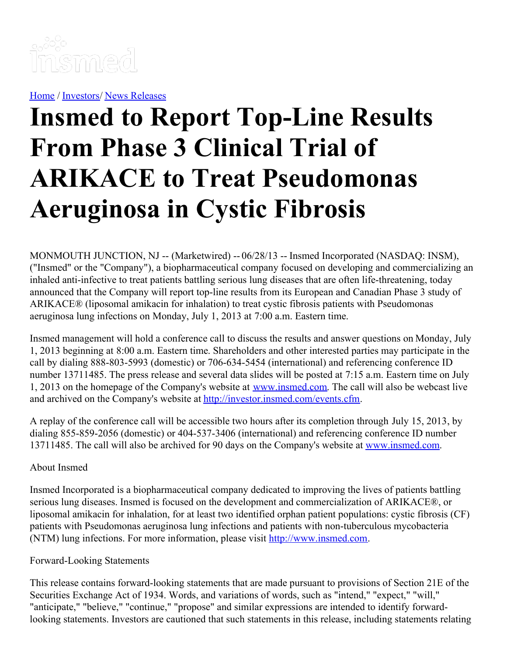

[Home](https://insmed.com/) / [Investors](https://investor.insmed.com/index)/ News [Releases](https://investor.insmed.com/releases)

## **Insmed to Report Top-Line Results From Phase 3 Clinical Trial of ARIKACE to Treat Pseudomonas Aeruginosa in Cystic Fibrosis**

MONMOUTH JUNCTION, NJ -- (Marketwired) -- 06/28/13 -- Insmed Incorporated (NASDAQ: INSM), ("Insmed" or the "Company"), a biopharmaceutical company focused on developing and commercializing an inhaled anti-infective to treat patients battling serious lung diseases that are often life-threatening, today announced that the Company will report top-line results from its European and Canadian Phase 3 study of ARIKACE® (liposomal amikacin for inhalation) to treat cystic fibrosis patients with Pseudomonas aeruginosa lung infections on Monday, July 1, 2013 at 7:00 a.m. Eastern time.

Insmed management will hold a conference call to discuss the results and answer questions on Monday, July 1, 2013 beginning at 8:00 a.m. Eastern time. Shareholders and other interested parties may participate in the call by dialing 888-803-5993 (domestic) or 706-634-5454 (international) and referencing conference ID number 13711485. The press release and several data slides will be posted at 7:15 a.m. Eastern time on July 1, 2013 on the homepage of the Company's website at [www.insmed.com](http://www.insmed.com/). The call will also be webcast live and archived on the Company's website at <http://investor.insmed.com/events.cfm>.

A replay of the conference call will be accessible two hours after its completion through July 15, 2013, by dialing 855-859-2056 (domestic) or 404-537-3406 (international) and referencing conference ID number 13711485. The call will also be archived for 90 days on the Company's website at [www.insmed.com](http://www.insmed.com/).

## About Insmed

Insmed Incorporated is a biopharmaceutical company dedicated to improving the lives of patients battling serious lung diseases. Insmed is focused on the development and commercialization of ARIKACE®, or liposomal amikacin for inhalation, for at least two identified orphan patient populations: cystic fibrosis (CF) patients with Pseudomonas aeruginosa lung infections and patients with non-tuberculous mycobacteria (NTM) lung infections. For more information, please visit [http://www.insmed.com](http://www.insmed.com/).

## Forward-Looking Statements

This release contains forward-looking statements that are made pursuant to provisions of Section 21E of the Securities Exchange Act of 1934. Words, and variations of words, such as "intend," "expect," "will," "anticipate," "believe," "continue," "propose" and similar expressions are intended to identify forwardlooking statements. Investors are cautioned that such statements in this release, including statements relating